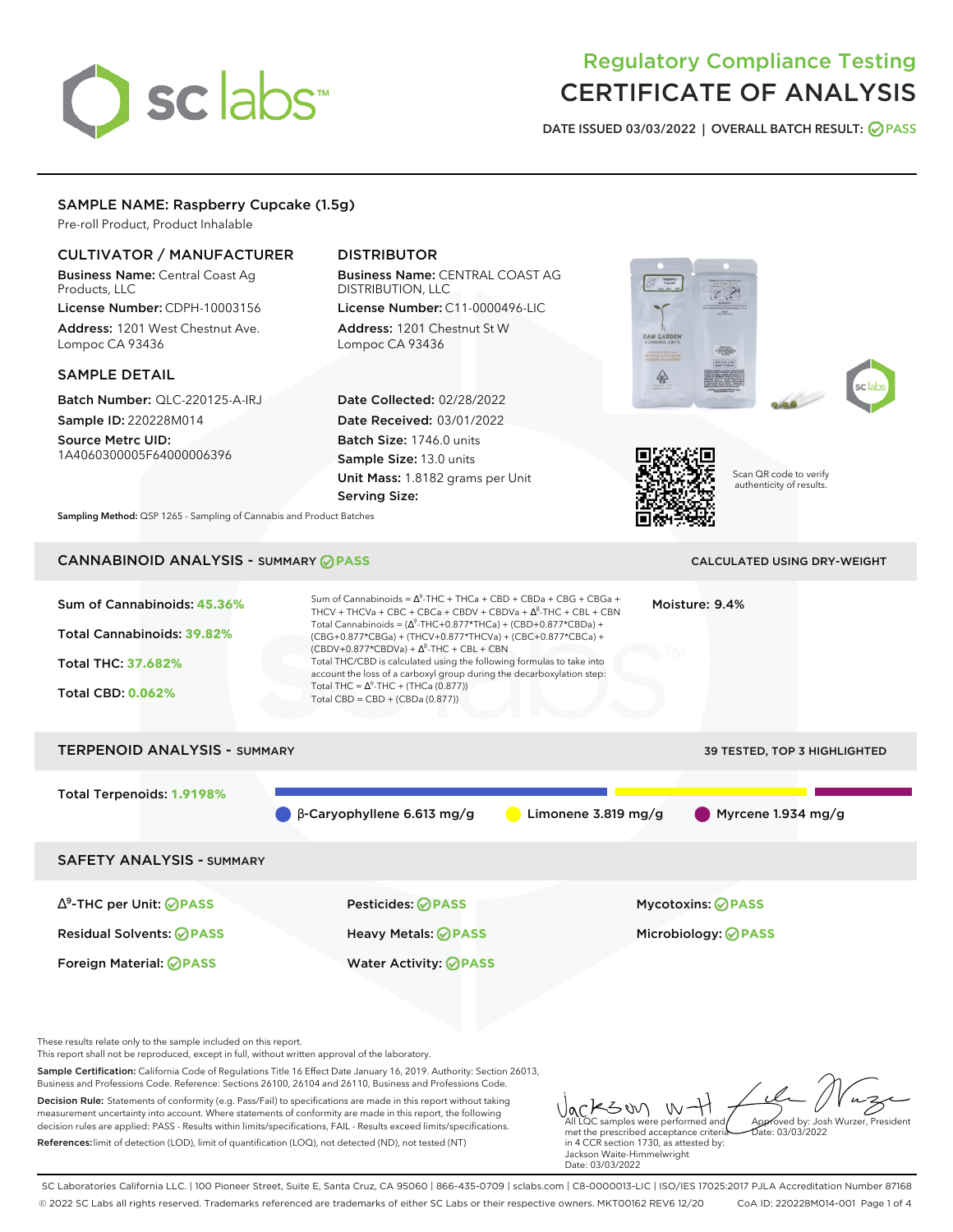# sclabs<sup>\*</sup>

# Regulatory Compliance Testing CERTIFICATE OF ANALYSIS

**DATE ISSUED 03/03/2022 | OVERALL BATCH RESULT: PASS**

# SAMPLE NAME: Raspberry Cupcake (1.5g)

Pre-roll Product, Product Inhalable

# CULTIVATOR / MANUFACTURER

Business Name: Central Coast Ag Products, LLC

License Number: CDPH-10003156 Address: 1201 West Chestnut Ave. Lompoc CA 93436

#### SAMPLE DETAIL

Batch Number: QLC-220125-A-IRJ Sample ID: 220228M014

Source Metrc UID: 1A4060300005F64000006396

# DISTRIBUTOR

Business Name: CENTRAL COAST AG DISTRIBUTION, LLC

License Number: C11-0000496-LIC Address: 1201 Chestnut St W Lompoc CA 93436

Date Collected: 02/28/2022 Date Received: 03/01/2022 Batch Size: 1746.0 units Sample Size: 13.0 units Unit Mass: 1.8182 grams per Unit Serving Size:









Scan QR code to verify authenticity of results.

**Sampling Method:** QSP 1265 - Sampling of Cannabis and Product Batches

# CANNABINOID ANALYSIS - SUMMARY **PASS** CALCULATED USING DRY-WEIGHT

| Sum of Cannabinoids: 45.36%<br>Total Cannabinoids: 39.82%<br><b>Total THC: 37.682%</b> | Sum of Cannabinoids = $\Delta^9$ -THC + THCa + CBD + CBDa + CBG + CBGa +<br>Moisture: 9.4%<br>THCV + THCVa + CBC + CBCa + CBDV + CBDVa + $\Delta^8$ -THC + CBL + CBN<br>Total Cannabinoids = $(\Delta^9$ -THC+0.877*THCa) + (CBD+0.877*CBDa) +<br>(CBG+0.877*CBGa) + (THCV+0.877*THCVa) + (CBC+0.877*CBCa) +<br>$(CBDV+0.877*CBDVa) + \Delta^{8}$ -THC + CBL + CBN<br>Total THC/CBD is calculated using the following formulas to take into<br>account the loss of a carboxyl group during the decarboxylation step: |                       |                                     |  |  |
|----------------------------------------------------------------------------------------|----------------------------------------------------------------------------------------------------------------------------------------------------------------------------------------------------------------------------------------------------------------------------------------------------------------------------------------------------------------------------------------------------------------------------------------------------------------------------------------------------------------------|-----------------------|-------------------------------------|--|--|
| <b>Total CBD: 0.062%</b>                                                               | Total THC = $\Delta^9$ -THC + (THCa (0.877))<br>Total CBD = $CBD + (CBDa (0.877))$                                                                                                                                                                                                                                                                                                                                                                                                                                   |                       |                                     |  |  |
| <b>TERPENOID ANALYSIS - SUMMARY</b>                                                    |                                                                                                                                                                                                                                                                                                                                                                                                                                                                                                                      |                       | <b>39 TESTED, TOP 3 HIGHLIGHTED</b> |  |  |
| Total Terpenoids: 1.9198%                                                              | $\beta$ -Caryophyllene 6.613 mg/g                                                                                                                                                                                                                                                                                                                                                                                                                                                                                    | Limonene $3.819$ mg/g | $\blacksquare$ Myrcene 1.934 mg/g   |  |  |
| <b>SAFETY ANALYSIS - SUMMARY</b>                                                       |                                                                                                                                                                                                                                                                                                                                                                                                                                                                                                                      |                       |                                     |  |  |
| $\Delta^9$ -THC per Unit: <b>PASS</b>                                                  | Pesticides: <b>⊘</b> PASS                                                                                                                                                                                                                                                                                                                                                                                                                                                                                            |                       | <b>Mycotoxins: ⊘PASS</b>            |  |  |
| <b>Residual Solvents: ⊘PASS</b>                                                        | Heavy Metals: ⊘PASS                                                                                                                                                                                                                                                                                                                                                                                                                                                                                                  |                       | Microbiology: <b>OPASS</b>          |  |  |
| Foreign Material: <b>⊘ PASS</b>                                                        | <b>Water Activity: ⊘PASS</b>                                                                                                                                                                                                                                                                                                                                                                                                                                                                                         |                       |                                     |  |  |

These results relate only to the sample included on this report.

This report shall not be reproduced, except in full, without written approval of the laboratory.

Sample Certification: California Code of Regulations Title 16 Effect Date January 16, 2019. Authority: Section 26013, Business and Professions Code. Reference: Sections 26100, 26104 and 26110, Business and Professions Code.

Decision Rule: Statements of conformity (e.g. Pass/Fail) to specifications are made in this report without taking measurement uncertainty into account. Where statements of conformity are made in this report, the following decision rules are applied: PASS - Results within limits/specifications, FAIL - Results exceed limits/specifications. References:limit of detection (LOD), limit of quantification (LOQ), not detected (ND), not tested (NT)

Jackson, W-H met the prescribed acceptance criteria in 4 CCR section 1730, as attested by: Jackson Waite-Himmelwright Approved by: Josh Wurzer, President Date: 03/03/2022

SC Laboratories California LLC. | 100 Pioneer Street, Suite E, Santa Cruz, CA 95060 | 866-435-0709 | sclabs.com | C8-0000013-LIC | ISO/IES 17025:2017 PJLA Accreditation Number 87168 © 2022 SC Labs all rights reserved. Trademarks referenced are trademarks of either SC Labs or their respective owners. MKT00162 REV6 12/20 CoA ID: 220228M014-001 Page 1 of 4

Date: 03/03/2022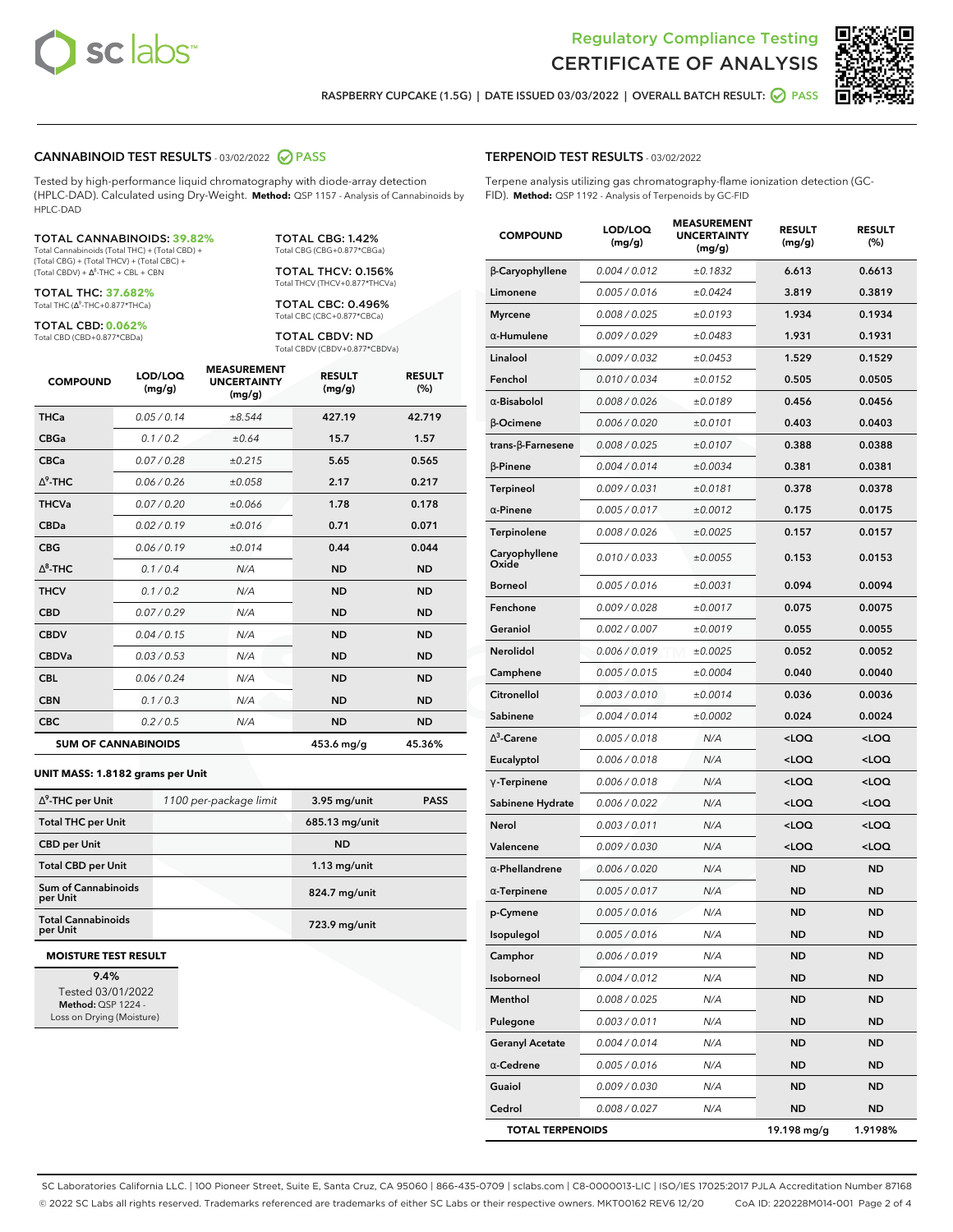



**RASPBERRY CUPCAKE (1.5G) | DATE ISSUED 03/03/2022 | OVERALL BATCH RESULT: PASS**

#### **CANNABINOID TEST RESULTS** - 03/02/2022 **PASS**

Tested by high-performance liquid chromatography with diode-array detection (HPLC-DAD). Calculated using Dry-Weight. **Method:** QSP 1157 - Analysis of Cannabinoids by HPLC-DAD

#### TOTAL CANNABINOIDS: **39.82%**

Total Cannabinoids (Total THC) + (Total CBD) + (Total CBG) + (Total THCV) + (Total CBC) +  $(Total CBDV) +  $\Delta^8$ -THC + CBL + CBN$ 

TOTAL THC: **37.682%** Total THC (Ƽ-THC+0.877\*THCa)

TOTAL CBD: **0.062%** Total CBD (CBD+0.877\*CBDa)

TOTAL CBG: 1.42% Total CBG (CBG+0.877\*CBGa)

TOTAL THCV: 0.156% Total THCV (THCV+0.877\*THCVa)

TOTAL CBC: 0.496% Total CBC (CBC+0.877\*CBCa)

TOTAL CBDV: ND Total CBDV (CBDV+0.877\*CBDVa)

| <b>COMPOUND</b> | LOD/LOQ<br>(mg/g)          | <b>MEASUREMENT</b><br><b>UNCERTAINTY</b><br>(mg/g) | <b>RESULT</b><br>(mg/g) | <b>RESULT</b><br>(%) |
|-----------------|----------------------------|----------------------------------------------------|-------------------------|----------------------|
| <b>THCa</b>     | 0.05 / 0.14                | ±8.544                                             | 427.19                  | 42.719               |
| <b>CBGa</b>     | 0.1 / 0.2                  | ±0.64                                              | 15.7                    | 1.57                 |
| <b>CBCa</b>     | 0.07 / 0.28                | ±0.215                                             | 5.65                    | 0.565                |
| $\wedge^9$ -THC | 0.06 / 0.26                | ±0.058                                             | 2.17                    | 0.217                |
| <b>THCVa</b>    | 0.07/0.20                  | ±0.066                                             | 1.78                    | 0.178                |
| <b>CBDa</b>     | 0.02/0.19                  | ±0.016                                             | 0.71                    | 0.071                |
| <b>CBG</b>      | 0.06/0.19                  | ±0.014                                             | 0.44                    | 0.044                |
| $\wedge^8$ -THC | 0.1/0.4                    | N/A                                                | <b>ND</b>               | <b>ND</b>            |
| <b>THCV</b>     | 0.1/0.2                    | N/A                                                | <b>ND</b>               | <b>ND</b>            |
| <b>CBD</b>      | 0.07/0.29                  | N/A                                                | <b>ND</b>               | <b>ND</b>            |
| <b>CBDV</b>     | 0.04 / 0.15                | N/A                                                | <b>ND</b>               | <b>ND</b>            |
| <b>CBDVa</b>    | 0.03/0.53                  | N/A                                                | <b>ND</b>               | <b>ND</b>            |
| <b>CBL</b>      | 0.06 / 0.24                | N/A                                                | <b>ND</b>               | <b>ND</b>            |
| <b>CBN</b>      | 0.1 / 0.3                  | N/A                                                | <b>ND</b>               | <b>ND</b>            |
| <b>CBC</b>      | 0.2 / 0.5                  | N/A                                                | <b>ND</b>               | <b>ND</b>            |
|                 | <b>SUM OF CANNABINOIDS</b> |                                                    | 453.6 mg/g              | 45.36%               |

#### **UNIT MASS: 1.8182 grams per Unit**

| $\Delta^9$ -THC per Unit               | 1100 per-package limit | 3.95 mg/unit   | <b>PASS</b> |
|----------------------------------------|------------------------|----------------|-------------|
| <b>Total THC per Unit</b>              |                        | 685.13 mg/unit |             |
| <b>CBD</b> per Unit                    |                        | <b>ND</b>      |             |
| <b>Total CBD per Unit</b>              |                        | $1.13$ mg/unit |             |
| <b>Sum of Cannabinoids</b><br>per Unit |                        | 824.7 mg/unit  |             |
| <b>Total Cannabinoids</b><br>per Unit  |                        | 723.9 mg/unit  |             |

#### **MOISTURE TEST RESULT**

**9.4%** Tested 03/01/2022 **Method:** QSP 1224 - Loss on Drying (Moisture)

#### **TERPENOID TEST RESULTS** - 03/02/2022

Terpene analysis utilizing gas chromatography-flame ionization detection (GC-FID). **Method:** QSP 1192 - Analysis of Terpenoids by GC-FID

| <b>COMPOUND</b>          | LOD/LOQ<br>(mg/g) | <b>MEASUREMENT</b><br><b>UNCERTAINTY</b><br>(mg/g) | <b>RESULT</b><br>(mg/g)                         | <b>RESULT</b><br>(%) |
|--------------------------|-------------------|----------------------------------------------------|-------------------------------------------------|----------------------|
| β-Caryophyllene          | 0.004 / 0.012     | ±0.1832                                            | 6.613                                           | 0.6613               |
| Limonene                 | 0.005 / 0.016     | ±0.0424                                            | 3.819                                           | 0.3819               |
| <b>Myrcene</b>           | 0.008 / 0.025     | ±0.0193                                            | 1.934                                           | 0.1934               |
| $\alpha$ -Humulene       | 0.009 / 0.029     | ±0.0483                                            | 1.931                                           | 0.1931               |
| Linalool                 | 0.009 / 0.032     | ±0.0453                                            | 1.529                                           | 0.1529               |
| Fenchol                  | 0.010 / 0.034     | ±0.0152                                            | 0.505                                           | 0.0505               |
| $\alpha$ -Bisabolol      | 0.008 / 0.026     | ±0.0189                                            | 0.456                                           | 0.0456               |
| $\beta$ -Ocimene         | 0.006 / 0.020     | ±0.0101                                            | 0.403                                           | 0.0403               |
| $trans-\beta$ -Farnesene | 0.008 / 0.025     | ±0.0107                                            | 0.388                                           | 0.0388               |
| $\beta$ -Pinene          | 0.004 / 0.014     | ±0.0034                                            | 0.381                                           | 0.0381               |
| <b>Terpineol</b>         | 0.009 / 0.031     | ±0.0181                                            | 0.378                                           | 0.0378               |
| $\alpha$ -Pinene         | 0.005 / 0.017     | ±0.0012                                            | 0.175                                           | 0.0175               |
| Terpinolene              | 0.008 / 0.026     | ±0.0025                                            | 0.157                                           | 0.0157               |
| Caryophyllene<br>Oxide   | 0.010 / 0.033     | ±0.0055                                            | 0.153                                           | 0.0153               |
| Borneol                  | 0.005 / 0.016     | ±0.0031                                            | 0.094                                           | 0.0094               |
| Fenchone                 | 0.009 / 0.028     | ±0.0017                                            | 0.075                                           | 0.0075               |
| Geraniol                 | 0.002 / 0.007     | ±0.0019                                            | 0.055                                           | 0.0055               |
| Nerolidol                | 0.006 / 0.019     | ±0.0025                                            | 0.052                                           | 0.0052               |
| Camphene                 | 0.005 / 0.015     | ±0.0004                                            | 0.040                                           | 0.0040               |
| Citronellol              | 0.003 / 0.010     | ±0.0014                                            | 0.036                                           | 0.0036               |
| Sabinene                 | 0.004 / 0.014     | ±0.0002                                            | 0.024                                           | 0.0024               |
| $\Delta^3$ -Carene       | 0.005 / 0.018     | N/A                                                | <loq< th=""><th><loq< th=""></loq<></th></loq<> | <loq< th=""></loq<>  |
| Eucalyptol               | 0.006 / 0.018     | N/A                                                | <loq< th=""><th><loq< th=""></loq<></th></loq<> | <loq< th=""></loq<>  |
| $\gamma$ -Terpinene      | 0.006 / 0.018     | N/A                                                | $<$ LOQ                                         | $<$ LOQ              |
| Sabinene Hydrate         | 0.006 / 0.022     | N/A                                                | <loq< th=""><th><loq< th=""></loq<></th></loq<> | <loq< th=""></loq<>  |
| Nerol                    | 0.003 / 0.011     | N/A                                                | <loq< th=""><th><loq< th=""></loq<></th></loq<> | <loq< th=""></loq<>  |
| Valencene                | 0.009 / 0.030     | N/A                                                | $<$ LOQ                                         | $<$ LOQ              |
| $\alpha$ -Phellandrene   | 0.006 / 0.020     | N/A                                                | ND                                              | <b>ND</b>            |
| $\alpha$ -Terpinene      | 0.005 / 0.017     | N/A                                                | ND                                              | ND                   |
| p-Cymene                 | 0.005 / 0.016     | N/A                                                | <b>ND</b>                                       | <b>ND</b>            |
| Isopulegol               | 0.005 / 0.016     | N/A                                                | ND                                              | <b>ND</b>            |
| Camphor                  | 0.006 / 0.019     | N/A                                                | ND                                              | <b>ND</b>            |
| Isoborneol               | 0.004 / 0.012     | N/A                                                | <b>ND</b>                                       | <b>ND</b>            |
| Menthol                  | 0.008 / 0.025     | N/A                                                | <b>ND</b>                                       | <b>ND</b>            |
| Pulegone                 | 0.003 / 0.011     | N/A                                                | ND                                              | ND                   |
| <b>Geranyl Acetate</b>   | 0.004 / 0.014     | N/A                                                | ND                                              | <b>ND</b>            |
| $\alpha$ -Cedrene        | 0.005 / 0.016     | N/A                                                | <b>ND</b>                                       | <b>ND</b>            |
| Guaiol                   | 0.009 / 0.030     | N/A                                                | ND                                              | ND                   |
| Cedrol                   | 0.008 / 0.027     | N/A                                                | <b>ND</b>                                       | ND                   |
| <b>TOTAL TERPENOIDS</b>  |                   |                                                    | 19.198 mg/g                                     | 1.9198%              |

SC Laboratories California LLC. | 100 Pioneer Street, Suite E, Santa Cruz, CA 95060 | 866-435-0709 | sclabs.com | C8-0000013-LIC | ISO/IES 17025:2017 PJLA Accreditation Number 87168 © 2022 SC Labs all rights reserved. Trademarks referenced are trademarks of either SC Labs or their respective owners. MKT00162 REV6 12/20 CoA ID: 220228M014-001 Page 2 of 4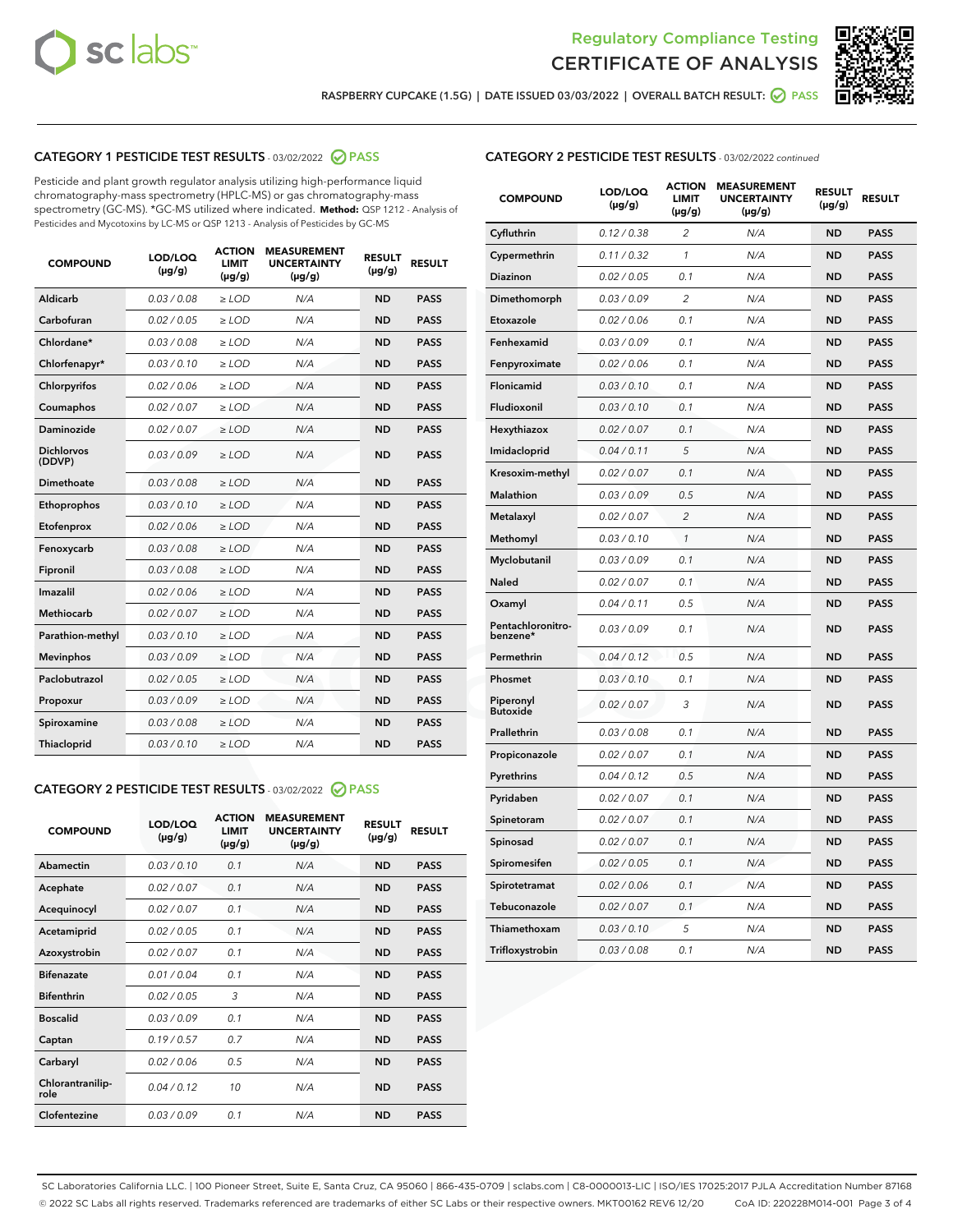



**RASPBERRY CUPCAKE (1.5G) | DATE ISSUED 03/03/2022 | OVERALL BATCH RESULT: PASS**

# **CATEGORY 1 PESTICIDE TEST RESULTS** - 03/02/2022 **PASS**

Pesticide and plant growth regulator analysis utilizing high-performance liquid chromatography-mass spectrometry (HPLC-MS) or gas chromatography-mass spectrometry (GC-MS). \*GC-MS utilized where indicated. **Method:** QSP 1212 - Analysis of Pesticides and Mycotoxins by LC-MS or QSP 1213 - Analysis of Pesticides by GC-MS

| <b>COMPOUND</b>             | LOD/LOQ<br>$(\mu g/g)$ | <b>ACTION</b><br>LIMIT<br>$(\mu g/g)$ | <b>MEASUREMENT</b><br><b>UNCERTAINTY</b><br>$(\mu g/g)$ | <b>RESULT</b><br>$(\mu g/g)$ | <b>RESULT</b> |
|-----------------------------|------------------------|---------------------------------------|---------------------------------------------------------|------------------------------|---------------|
| Aldicarb                    | 0.03 / 0.08            | $\ge$ LOD                             | N/A                                                     | <b>ND</b>                    | <b>PASS</b>   |
| Carbofuran                  | 0.02 / 0.05            | $>$ LOD                               | N/A                                                     | <b>ND</b>                    | <b>PASS</b>   |
| Chlordane*                  | 0.03 / 0.08            | $\ge$ LOD                             | N/A                                                     | <b>ND</b>                    | <b>PASS</b>   |
| Chlorfenapyr*               | 0.03/0.10              | $\ge$ LOD                             | N/A                                                     | <b>ND</b>                    | <b>PASS</b>   |
| Chlorpyrifos                | 0.02/0.06              | $>$ LOD                               | N/A                                                     | <b>ND</b>                    | <b>PASS</b>   |
| Coumaphos                   | 0.02 / 0.07            | $\ge$ LOD                             | N/A                                                     | <b>ND</b>                    | <b>PASS</b>   |
| Daminozide                  | 0.02 / 0.07            | $\ge$ LOD                             | N/A                                                     | <b>ND</b>                    | <b>PASS</b>   |
| <b>Dichlorvos</b><br>(DDVP) | 0.03/0.09              | $\ge$ LOD                             | N/A                                                     | <b>ND</b>                    | <b>PASS</b>   |
| Dimethoate                  | 0.03/0.08              | $>$ LOD                               | N/A                                                     | <b>ND</b>                    | <b>PASS</b>   |
| Ethoprophos                 | 0.03/0.10              | $\ge$ LOD                             | N/A                                                     | <b>ND</b>                    | <b>PASS</b>   |
| Etofenprox                  | 0.02 / 0.06            | $>$ LOD                               | N/A                                                     | <b>ND</b>                    | <b>PASS</b>   |
| Fenoxycarb                  | 0.03/0.08              | $>$ LOD                               | N/A                                                     | <b>ND</b>                    | <b>PASS</b>   |
| Fipronil                    | 0.03 / 0.08            | $\ge$ LOD                             | N/A                                                     | <b>ND</b>                    | <b>PASS</b>   |
| Imazalil                    | 0.02/0.06              | $>$ LOD                               | N/A                                                     | <b>ND</b>                    | <b>PASS</b>   |
| <b>Methiocarb</b>           | 0.02 / 0.07            | $\ge$ LOD                             | N/A                                                     | <b>ND</b>                    | <b>PASS</b>   |
| Parathion-methyl            | 0.03/0.10              | $\ge$ LOD                             | N/A                                                     | <b>ND</b>                    | <b>PASS</b>   |
| <b>Mevinphos</b>            | 0.03/0.09              | $>$ LOD                               | N/A                                                     | <b>ND</b>                    | <b>PASS</b>   |
| Paclobutrazol               | 0.02 / 0.05            | $\ge$ LOD                             | N/A                                                     | <b>ND</b>                    | <b>PASS</b>   |
| Propoxur                    | 0.03/0.09              | $>$ LOD                               | N/A                                                     | <b>ND</b>                    | <b>PASS</b>   |
| Spiroxamine                 | 0.03 / 0.08            | $\ge$ LOD                             | N/A                                                     | <b>ND</b>                    | <b>PASS</b>   |
| Thiacloprid                 | 0.03/0.10              | $\ge$ LOD                             | N/A                                                     | <b>ND</b>                    | <b>PASS</b>   |
|                             |                        |                                       |                                                         |                              |               |

# **CATEGORY 2 PESTICIDE TEST RESULTS** - 03/02/2022 **PASS**

| <b>COMPOUND</b>          | LOD/LOO<br>$(\mu g/g)$ | <b>ACTION</b><br><b>LIMIT</b><br>(µg/g) | <b>MEASUREMENT</b><br><b>UNCERTAINTY</b><br>$(\mu g/g)$ | <b>RESULT</b><br>$(\mu g/g)$ | <b>RESULT</b> |  |
|--------------------------|------------------------|-----------------------------------------|---------------------------------------------------------|------------------------------|---------------|--|
| Abamectin                | 0.03/0.10              | 0.1                                     | N/A                                                     | <b>ND</b>                    | <b>PASS</b>   |  |
| Acephate                 | 0.02/0.07              | 0.1                                     | N/A                                                     | <b>ND</b>                    | <b>PASS</b>   |  |
| Acequinocyl              | 0.02/0.07              | 0.1                                     | N/A                                                     | <b>ND</b>                    | <b>PASS</b>   |  |
| Acetamiprid              | 0.02/0.05              | 0.1                                     | N/A                                                     | <b>ND</b>                    | <b>PASS</b>   |  |
| Azoxystrobin             | 0.02/0.07              | 0.1                                     | N/A                                                     | <b>ND</b>                    | <b>PASS</b>   |  |
| <b>Bifenazate</b>        | 0.01/0.04              | 0.1                                     | N/A                                                     | <b>ND</b>                    | <b>PASS</b>   |  |
| <b>Bifenthrin</b>        | 0.02/0.05              | 3                                       | N/A                                                     | <b>ND</b>                    | <b>PASS</b>   |  |
| <b>Boscalid</b>          | 0.03/0.09              | 0.1                                     | N/A                                                     | <b>ND</b>                    | <b>PASS</b>   |  |
| Captan                   | 0.19/0.57              | 0.7                                     | N/A                                                     | <b>ND</b>                    | <b>PASS</b>   |  |
| Carbaryl                 | 0.02/0.06              | 0.5                                     | N/A                                                     | <b>ND</b>                    | <b>PASS</b>   |  |
| Chlorantranilip-<br>role | 0.04/0.12              | 10                                      | N/A                                                     | <b>ND</b>                    | <b>PASS</b>   |  |
| Clofentezine             | 0.03/0.09              | 0.1                                     | N/A                                                     | <b>ND</b>                    | <b>PASS</b>   |  |

## **CATEGORY 2 PESTICIDE TEST RESULTS** - 03/02/2022 continued

| <b>COMPOUND</b>               | LOD/LOQ<br>(µg/g) | <b>ACTION</b><br><b>LIMIT</b><br>(µg/g) | <b>MEASUREMENT</b><br><b>UNCERTAINTY</b><br>$(\mu g/g)$ | <b>RESULT</b><br>(µg/g) | <b>RESULT</b> |
|-------------------------------|-------------------|-----------------------------------------|---------------------------------------------------------|-------------------------|---------------|
| Cyfluthrin                    | 0.12 / 0.38       | $\overline{c}$                          | N/A                                                     | <b>ND</b>               | <b>PASS</b>   |
| Cypermethrin                  | 0.11 / 0.32       | 1                                       | N/A                                                     | <b>ND</b>               | <b>PASS</b>   |
| <b>Diazinon</b>               | 0.02 / 0.05       | 0.1                                     | N/A                                                     | <b>ND</b>               | <b>PASS</b>   |
| Dimethomorph                  | 0.03 / 0.09       | $\overline{c}$                          | N/A                                                     | <b>ND</b>               | <b>PASS</b>   |
| Etoxazole                     | 0.02 / 0.06       | 0.1                                     | N/A                                                     | <b>ND</b>               | <b>PASS</b>   |
| Fenhexamid                    | 0.03 / 0.09       | 0.1                                     | N/A                                                     | <b>ND</b>               | <b>PASS</b>   |
| Fenpyroximate                 | 0.02 / 0.06       | 0.1                                     | N/A                                                     | <b>ND</b>               | <b>PASS</b>   |
| Flonicamid                    | 0.03 / 0.10       | 0.1                                     | N/A                                                     | <b>ND</b>               | <b>PASS</b>   |
| Fludioxonil                   | 0.03 / 0.10       | 0.1                                     | N/A                                                     | <b>ND</b>               | <b>PASS</b>   |
| Hexythiazox                   | 0.02 / 0.07       | 0.1                                     | N/A                                                     | <b>ND</b>               | <b>PASS</b>   |
| Imidacloprid                  | 0.04 / 0.11       | 5                                       | N/A                                                     | <b>ND</b>               | <b>PASS</b>   |
| Kresoxim-methyl               | 0.02 / 0.07       | 0.1                                     | N/A                                                     | <b>ND</b>               | <b>PASS</b>   |
| Malathion                     | 0.03 / 0.09       | 0.5                                     | N/A                                                     | <b>ND</b>               | <b>PASS</b>   |
| Metalaxyl                     | 0.02 / 0.07       | $\overline{c}$                          | N/A                                                     | <b>ND</b>               | <b>PASS</b>   |
| Methomyl                      | 0.03 / 0.10       | 1                                       | N/A                                                     | <b>ND</b>               | <b>PASS</b>   |
| Myclobutanil                  | 0.03 / 0.09       | 0.1                                     | N/A                                                     | <b>ND</b>               | <b>PASS</b>   |
| Naled                         | 0.02 / 0.07       | 0.1                                     | N/A                                                     | <b>ND</b>               | <b>PASS</b>   |
| Oxamyl                        | 0.04 / 0.11       | 0.5                                     | N/A                                                     | ND                      | <b>PASS</b>   |
| Pentachloronitro-<br>benzene* | 0.03 / 0.09       | 0.1                                     | N/A                                                     | <b>ND</b>               | <b>PASS</b>   |
| Permethrin                    | 0.04 / 0.12       | 0.5                                     | N/A                                                     | <b>ND</b>               | <b>PASS</b>   |
| Phosmet                       | 0.03 / 0.10       | 0.1                                     | N/A                                                     | <b>ND</b>               | <b>PASS</b>   |
| Piperonyl<br><b>Butoxide</b>  | 0.02 / 0.07       | 3                                       | N/A                                                     | <b>ND</b>               | <b>PASS</b>   |
| Prallethrin                   | 0.03 / 0.08       | 0.1                                     | N/A                                                     | <b>ND</b>               | <b>PASS</b>   |
| Propiconazole                 | 0.02 / 0.07       | 0.1                                     | N/A                                                     | <b>ND</b>               | <b>PASS</b>   |
| Pyrethrins                    | 0.04 / 0.12       | 0.5                                     | N/A                                                     | <b>ND</b>               | <b>PASS</b>   |
| Pyridaben                     | 0.02 / 0.07       | 0.1                                     | N/A                                                     | <b>ND</b>               | <b>PASS</b>   |
| Spinetoram                    | 0.02 / 0.07       | 0.1                                     | N/A                                                     | <b>ND</b>               | <b>PASS</b>   |
| Spinosad                      | 0.02 / 0.07       | 0.1                                     | N/A                                                     | <b>ND</b>               | <b>PASS</b>   |
| Spiromesifen                  | 0.02 / 0.05       | 0.1                                     | N/A                                                     | <b>ND</b>               | <b>PASS</b>   |
| Spirotetramat                 | 0.02 / 0.06       | 0.1                                     | N/A                                                     | <b>ND</b>               | <b>PASS</b>   |
| Tebuconazole                  | 0.02 / 0.07       | 0.1                                     | N/A                                                     | <b>ND</b>               | <b>PASS</b>   |
| Thiamethoxam                  | 0.03 / 0.10       | 5                                       | N/A                                                     | <b>ND</b>               | <b>PASS</b>   |
| Trifloxystrobin               | 0.03 / 0.08       | 0.1                                     | N/A                                                     | <b>ND</b>               | <b>PASS</b>   |

SC Laboratories California LLC. | 100 Pioneer Street, Suite E, Santa Cruz, CA 95060 | 866-435-0709 | sclabs.com | C8-0000013-LIC | ISO/IES 17025:2017 PJLA Accreditation Number 87168 © 2022 SC Labs all rights reserved. Trademarks referenced are trademarks of either SC Labs or their respective owners. MKT00162 REV6 12/20 CoA ID: 220228M014-001 Page 3 of 4